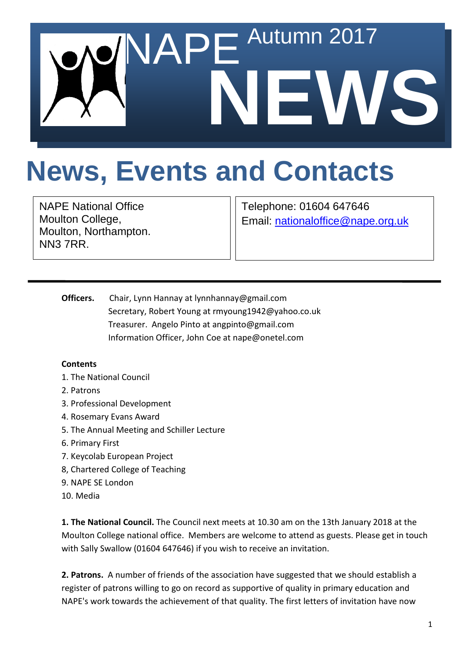

## **News, Events and Contacts**

NAPE National Office Moulton College, Moulton, Northampton. NN3 7RR.

Telephone: 01604 647646 Email: [nationaloffice@nape.org.uk](mailto:nationaloffice@nape.org.uk)

**Officers.** Chair, Lynn Hannay at lynnhannay@gmail.com Secretary, Robert Young at rmyoung1942@yahoo.co.uk Treasurer. Angelo Pinto at angpinto@gmail.com Information Officer, John Coe at nape@onetel.com

## **Contents**

- 1. The National Council
- 2. Patrons
- 3. Professional Development
- 4. Rosemary Evans Award
- 5. The Annual Meeting and Schiller Lecture
- 6. Primary First
- 7. Keycolab European Project
- 8, Chartered College of Teaching
- 9. NAPE SE London
- 10. Media

**1. The National Council.** The Council next meets at 10.30 am on the 13th January 2018 at the Moulton College national office. Members are welcome to attend as guests. Please get in touch with Sally Swallow (01604 647646) if you wish to receive an invitation.

**2. Patrons.** A number of friends of the association have suggested that we should establish a register of patrons willing to go on record as supportive of quality in primary education and NAPE's work towards the achievement of that quality. The first letters of invitation have now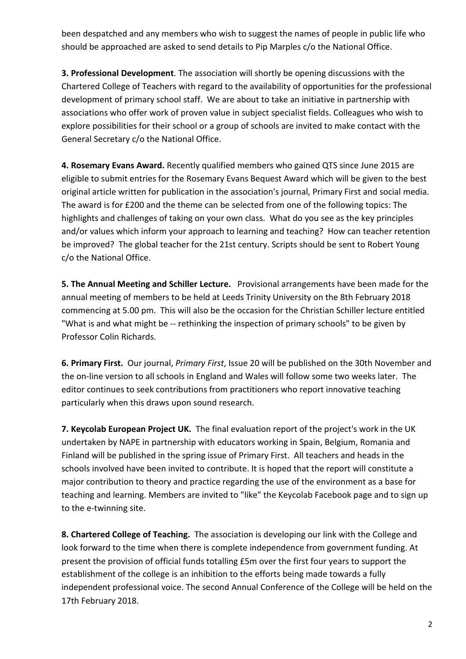been despatched and any members who wish to suggest the names of people in public life who should be approached are asked to send details to Pip Marples c/o the National Office.

**3. Professional Development**. The association will shortly be opening discussions with the Chartered College of Teachers with regard to the availability of opportunities for the professional development of primary school staff. We are about to take an initiative in partnership with associations who offer work of proven value in subject specialist fields. Colleagues who wish to explore possibilities for their school or a group of schools are invited to make contact with the General Secretary c/o the National Office.

**4. Rosemary Evans Award.** Recently qualified members who gained QTS since June 2015 are eligible to submit entries for the Rosemary Evans Bequest Award which will be given to the best original article written for publication in the association's journal, Primary First and social media. The award is for £200 and the theme can be selected from one of the following topics: The highlights and challenges of taking on your own class. What do you see as the key principles and/or values which inform your approach to learning and teaching? How can teacher retention be improved? The global teacher for the 21st century. Scripts should be sent to Robert Young c/o the National Office.

**5. The Annual Meeting and Schiller Lecture.** Provisional arrangements have been made for the annual meeting of members to be held at Leeds Trinity University on the 8th February 2018 commencing at 5.00 pm. This will also be the occasion for the Christian Schiller lecture entitled "What is and what might be -- rethinking the inspection of primary schools" to be given by Professor Colin Richards.

**6. Primary First.** Our journal, *Primary First*, Issue 20 will be published on the 30th November and the on-line version to all schools in England and Wales will follow some two weeks later. The editor continues to seek contributions from practitioners who report innovative teaching particularly when this draws upon sound research.

**7. Keycolab European Project UK.** The final evaluation report of the project's work in the UK undertaken by NAPE in partnership with educators working in Spain, Belgium, Romania and Finland will be published in the spring issue of Primary First. All teachers and heads in the schools involved have been invited to contribute. It is hoped that the report will constitute a major contribution to theory and practice regarding the use of the environment as a base for teaching and learning. Members are invited to "like" the Keycolab Facebook page and to sign up to the e-twinning site.

**8. Chartered College of Teaching.** The association is developing our link with the College and look forward to the time when there is complete independence from government funding. At present the provision of official funds totalling £5m over the first four years to support the establishment of the college is an inhibition to the efforts being made towards a fully independent professional voice. The second Annual Conference of the College will be held on the 17th February 2018.